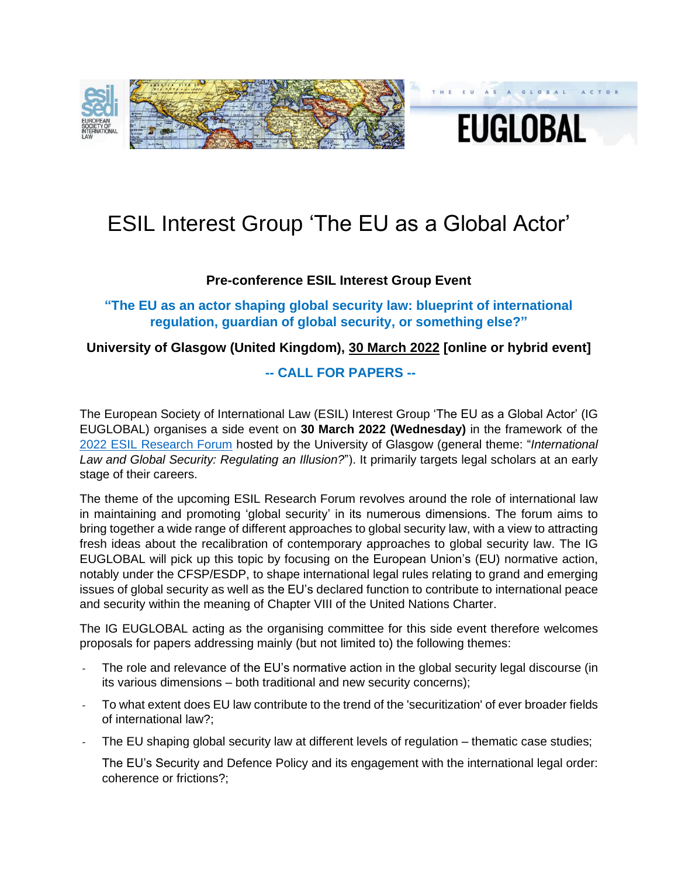

# **EUGLOBAL**

## ESIL Interest Group 'The EU as a Global Actor'

### **Pre-conference ESIL Interest Group Event**

**"The EU as an actor shaping global security law: blueprint of international regulation, guardian of global security, or something else?"**

### **University of Glasgow (United Kingdom), 30 March 2022 [online or hybrid event]**

### **-- CALL FOR PAPERS --**

The European Society of International Law (ESIL) Interest Group 'The EU as a Global Actor' (IG EUGLOBAL) organises a side event on **30 March 2022 (Wednesday)** in the framework of the 2022 [ESIL Research Forum](https://esil-sedi.eu/2022-esil-research-forum-glasgow-31-mar-1-apr-2022-call-for-papers/) hosted by the University of Glasgow (general theme: "*International Law and Global Security: Regulating an Illusion?*"). It primarily targets legal scholars at an early stage of their careers.

The theme of the upcoming ESIL Research Forum revolves around the role of international law in maintaining and promoting 'global security' in its numerous dimensions. The forum aims to bring together a wide range of different approaches to global security law, with a view to attracting fresh ideas about the recalibration of contemporary approaches to global security law. The IG EUGLOBAL will pick up this topic by focusing on the European Union's (EU) normative action, notably under the CFSP/ESDP, to shape international legal rules relating to grand and emerging issues of global security as well as the EU's declared function to contribute to international peace and security within the meaning of Chapter VIII of the United Nations Charter.

The IG EUGLOBAL acting as the organising committee for this side event therefore welcomes proposals for papers addressing mainly (but not limited to) the following themes:

- The role and relevance of the EU's normative action in the global security legal discourse (in its various dimensions – both traditional and new security concerns);
- To what extent does EU law contribute to the trend of the 'securitization' of ever broader fields of international law?;
- The EU shaping global security law at different levels of regulation thematic case studies;
	- The EU's Security and Defence Policy and its engagement with the international legal order: coherence or frictions?;